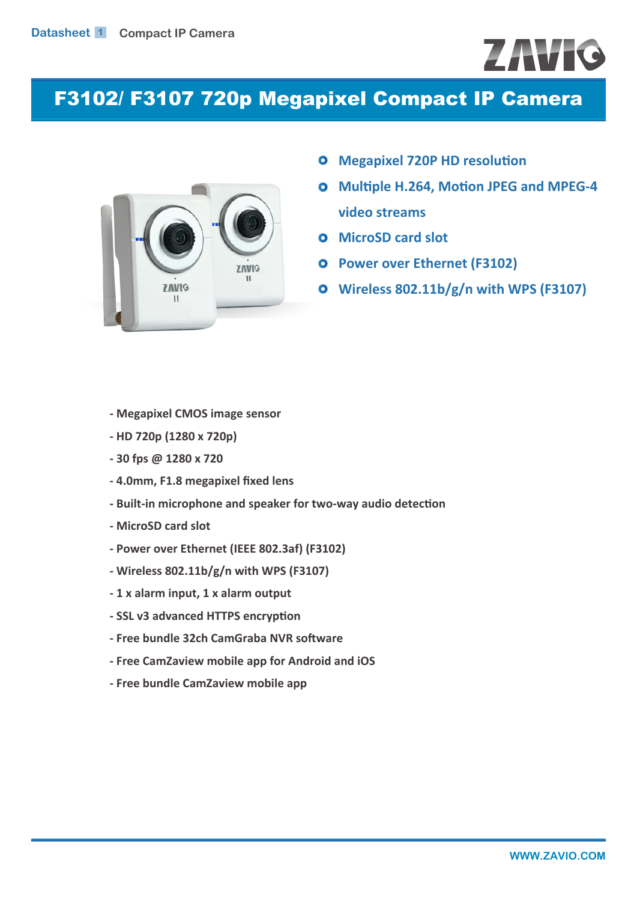# ZAVIO

# F3102/ F3107 720p Megapixel Compact IP Camera



- **Megapixel 720P HD resolution**
- **Multiple H.264, Motion JPEG and MPEG-4**   $\bullet$ **video streams**
- **Q** MicroSD card slot
- **Power over Ethernet (F3102)**
- **Wireless 802.11b/g/n with WPS (F3107)**

- **Megapixel CMOS image sensor**
- **HD 720p (1280 x 720p)**
- **30 fps @ 1280 x 720**
- **4.0mm, F1.8 megapixel fixed lens**
- **Built-in microphone and speaker for two-way audio detection**
- **MicroSD card slot**
- **Power over Ethernet (IEEE 802.3af) (F3102)**
- **Wireless 802.11b/g/n with WPS (F3107)**
- **1 x alarm input, 1 x alarm output**
- **SSL v3 advanced HTTPS encryption**
- **Free bundle 32ch CamGraba NVR software**
- **Free CamZaview mobile app for Android and iOS**
- **Free bundle CamZaview mobile app**